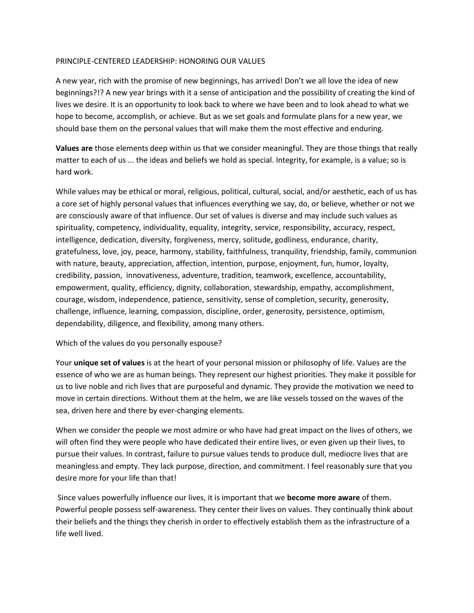## PRINCIPLE-CENTERED LEADERSHIP: HONORING OUR VALUES

A new year, rich with the promise of new beginnings, has arrived! Don't we all love the idea of new beginnings?!? A new year brings with it a sense of anticipation and the possibility of creating the kind of lives we desire. It is an opportunity to look back to where we have been and to look ahead to what we hope to become, accomplish, or achieve. But as we set goals and formulate plans for a new year, we should base them on the personal values that will make them the most effective and enduring.

**Values are** those elements deep within us that we consider meaningful. They are those things that really matter to each of us ... the ideas and beliefs we hold as special. Integrity, for example, is a value; so is hard work.

While values may be ethical or moral, religious, political, cultural, social, and/or aesthetic, each of us has a core set of highly personal values that influences everything we say, do, or believe, whether or not we are consciously aware of that influence. Our set of values is diverse and may include such values as spirituality, competency, individuality, equality, integrity, service, responsibility, accuracy, respect, intelligence, dedication, diversity, forgiveness, mercy, solitude, godliness, endurance, charity, gratefulness, love, joy, peace, harmony, stability, faithfulness, tranquility, friendship, family, communion with nature, beauty, appreciation, affection, intention, purpose, enjoyment, fun, humor, loyalty, credibility, passion, innovativeness, adventure, tradition, teamwork, excellence, accountability, empowerment, quality, efficiency, dignity, collaboration, stewardship, empathy, accomplishment, courage, wisdom, independence, patience, sensitivity, sense of completion, security, generosity, challenge, influence, learning, compassion, discipline, order, generosity, persistence, optimism, dependability, diligence, and flexibility, among many others.

## Which of the values do you personally espouse?

Your **unique set of values** is at the heart of your personal mission or philosophy of life. Values are the essence of who we are as human beings. They represent our highest priorities. They make it possible for us to live noble and rich lives that are purposeful and dynamic. They provide the motivation we need to move in certain directions. Without them at the helm, we are like vessels tossed on the waves of the sea, driven here and there by ever-changing elements.

When we consider the people we most admire or who have had great impact on the lives of others, we will often find they were people who have dedicated their entire lives, or even given up their lives, to pursue their values. In contrast, failure to pursue values tends to produce dull, mediocre lives that are meaningless and empty. They lack purpose, direction, and commitment. I feel reasonably sure that you desire more for your life than that!

Since values powerfully influence our lives, it is important that we **become more aware** of them. Powerful people possess self-awareness. They center their lives on values. They continually think about their beliefs and the things they cherish in order to effectively establish them as the infrastructure of a life well lived.